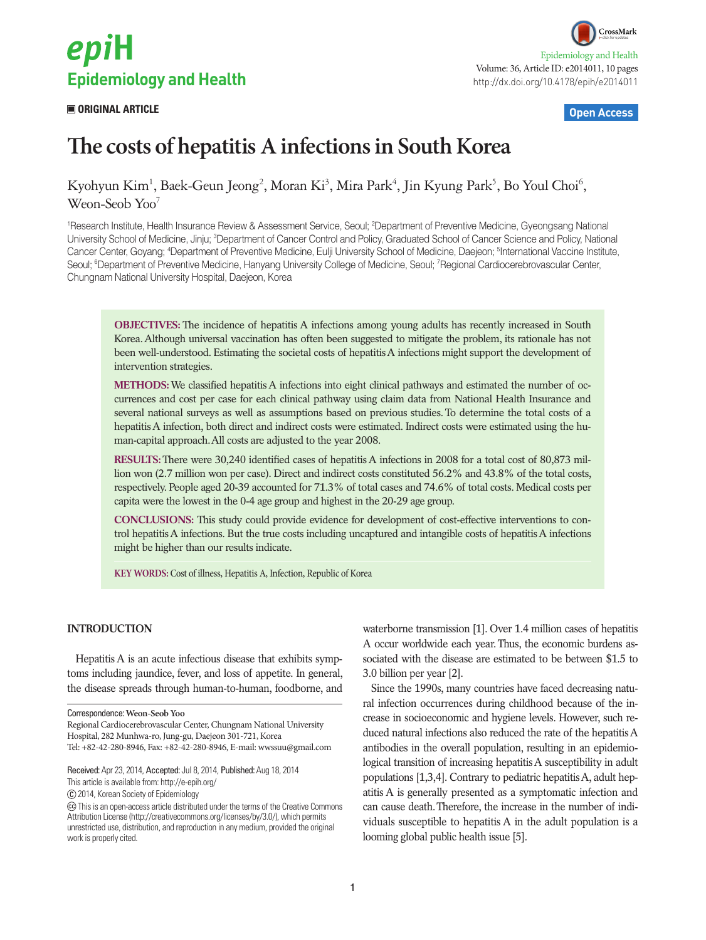

# **ORIGINAL ARTICLE Open Access**



# **The costs of hepatitis A infections in South Korea**

Kyohyun Kim<sup>1</sup>, Baek-Geun Jeong<sup>2</sup>, Moran Ki<sup>3</sup>, Mira Park<sup>4</sup>, Jin Kyung Park<sup>5</sup>, Bo Youl Choi<sup>6</sup>, Weon-Seob Yoo<sup>7</sup>

<sup>1</sup>Research Institute, Health Insurance Review & Assessment Service, Seoul; <sup>2</sup>Department of Preventive Medicine, Gyeongsang National University School of Medicine, Jinju; <sup>3</sup>Department of Cancer Control and Policy, Graduated School of Cancer Science and Policy, National Cancer Center, Goyang; <sup>4</sup>Department of Preventive Medicine, Eulji University School of Medicine, Daejeon; <sup>s</sup>International Vaccine Institute, Seoul; <sup>6</sup>Department of Preventive Medicine, Hanyang University College of Medicine, Seoul; <sup>7</sup>Regional Cardiocerebrovascular Center, Chungnam National University Hospital, Daejeon, Korea

**OBJECTIVES:** The incidence of hepatitis A infections among young adults has recently increased in South Korea. Although universal vaccination has often been suggested to mitigate the problem, its rationale has not been well-understood. Estimating the societal costs of hepatitis A infections might support the development of intervention strategies.

**METHODS:** We classified hepatitis A infections into eight clinical pathways and estimated the number of occurrences and cost per case for each clinical pathway using claim data from National Health Insurance and several national surveys as well as assumptions based on previous studies. To determine the total costs of a hepatitis A infection, both direct and indirect costs were estimated. Indirect costs were estimated using the human-capital approach. All costs are adjusted to the year 2008.

**RESULTS:** There were 30,240 identified cases of hepatitis A infections in 2008 for a total cost of 80,873 million won (2.7 million won per case). Direct and indirect costs constituted 56.2% and 43.8% of the total costs, respectively. People aged 20-39 accounted for 71.3% of total cases and 74.6% of total costs. Medical costs per capita were the lowest in the 0-4 age group and highest in the 20-29 age group.

**CONCLUSIONS:** This study could provide evidence for development of cost-effective interventions to control hepatitis A infections. But the true costs including uncaptured and intangible costs of hepatitis A infections might be higher than our results indicate.

**KEY WORDS:** Cost of illness, Hepatitis A, Infection, Republic of Korea

#### **INTRODUCTION**

Hepatitis A is an acute infectious disease that exhibits symptoms including jaundice, fever, and loss of appetite. In general, the disease spreads through human-to-human, foodborne, and

This article is available from: http://e-epih.org/

2014, Korean Society of Epidemiology

waterborne transmission [1]. Over 1.4 million cases of hepatitis A occur worldwide each year. Thus, the economic burdens associated with the disease are estimated to be between \$1.5 to 3.0 billion per year [2].

Since the 1990s, many countries have faced decreasing natural infection occurrences during childhood because of the increase in socioeconomic and hygiene levels. However, such reduced natural infections also reduced the rate of the hepatitis A antibodies in the overall population, resulting in an epidemiological transition of increasing hepatitis A susceptibility in adult populations [1,3,4]. Contrary to pediatric hepatitis A, adult hepatitis A is generally presented as a symptomatic infection and can cause death. Therefore, the increase in the number of individuals susceptible to hepatitis A in the adult population is a looming global public health issue [5].

Correspondence: **Weon-Seob Yoo**

Regional Cardiocerebrovascular Center, Chungnam National University Hospital, 282 Munhwa-ro, Jung-gu, Daejeon 301-721, Korea Tel: +82-42-280-8946, Fax: +82-42-280-8946, E-mail: wwssuu@gmail.com

Received: Apr 23, 2014, Accepted: Jul 8, 2014, Published: Aug 18, 2014

This is an open-access article distributed under the terms of the Creative Commons Attribution License (http://creativecommons.org/licenses/by/3.0/), which permits unrestricted use, distribution, and reproduction in any medium, provided the original work is properly cited.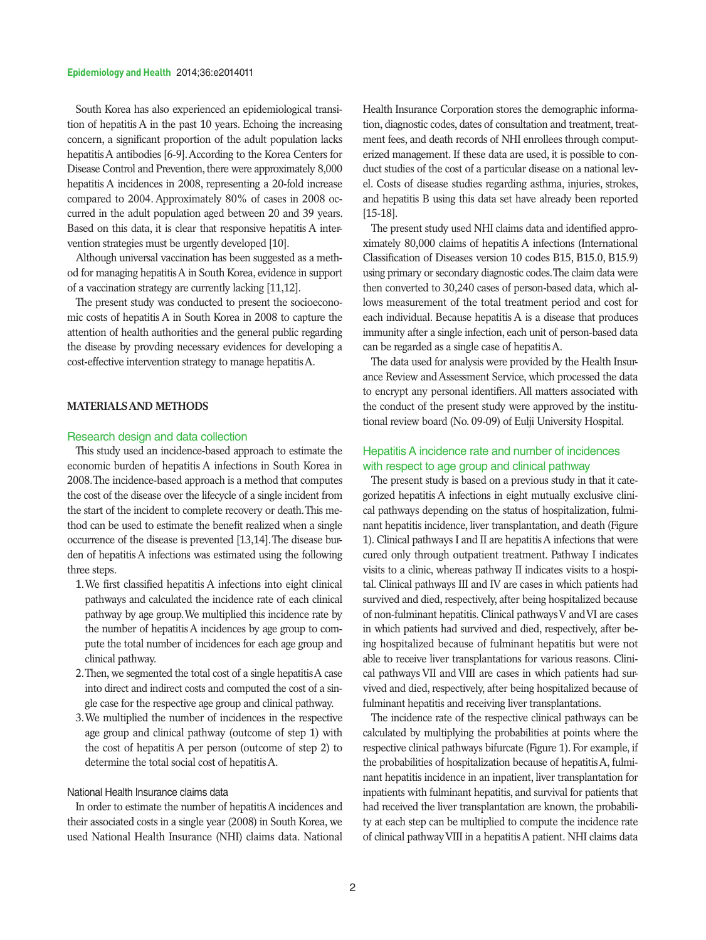#### **Epidemiology and Health** 2014;36:e2014011

South Korea has also experienced an epidemiological transition of hepatitis A in the past 10 years. Echoing the increasing concern, a significant proportion of the adult population lacks hepatitis A antibodies [6-9]. According to the Korea Centers for Disease Control and Prevention, there were approximately 8,000 hepatitis A incidences in 2008, representing a 20-fold increase compared to 2004. Approximately 80% of cases in 2008 occurred in the adult population aged between 20 and 39 years. Based on this data, it is clear that responsive hepatitis A intervention strategies must be urgently developed [10].

Although universal vaccination has been suggested as a method for managing hepatitis A in South Korea, evidence in support of a vaccination strategy are currently lacking [11,12].

The present study was conducted to present the socioeconomic costs of hepatitis A in South Korea in 2008 to capture the attention of health authorities and the general public regarding the disease by provding necessary evidences for developing a cost-effective intervention strategy to manage hepatitis A.

# **MATERIALS AND METHODS**

#### Research design and data collection

This study used an incidence-based approach to estimate the economic burden of hepatitis A infections in South Korea in 2008. The incidence-based approach is a method that computes the cost of the disease over the lifecycle of a single incident from the start of the incident to complete recovery or death. This method can be used to estimate the benefit realized when a single occurrence of the disease is prevented [13,14]. The disease burden of hepatitis A infections was estimated using the following three steps.

- 1. We first classified hepatitis A infections into eight clinical pathways and calculated the incidence rate of each clinical pathway by age group. We multiplied this incidence rate by the number of hepatitis A incidences by age group to compute the total number of incidences for each age group and clinical pathway.
- 2. Then, we segmented the total cost of a single hepatitis A case into direct and indirect costs and computed the cost of a single case for the respective age group and clinical pathway.
- 3. We multiplied the number of incidences in the respective age group and clinical pathway (outcome of step 1) with the cost of hepatitis A per person (outcome of step 2) to determine the total social cost of hepatitis A.

# National Health Insurance claims data

In order to estimate the number of hepatitis A incidences and their associated costs in a single year (2008) in South Korea, we used National Health Insurance (NHI) claims data. National Health Insurance Corporation stores the demographic information, diagnostic codes, dates of consultation and treatment, treatment fees, and death records of NHI enrollees through computerized management. If these data are used, it is possible to conduct studies of the cost of a particular disease on a national level. Costs of disease studies regarding asthma, injuries, strokes, and hepatitis B using this data set have already been reported [15-18].

The present study used NHI claims data and identified approximately 80,000 claims of hepatitis A infections (International Classification of Diseases version 10 codes B15, B15.0, B15.9) using primary or secondary diagnostic codes. The claim data were then converted to 30,240 cases of person-based data, which allows measurement of the total treatment period and cost for each individual. Because hepatitis A is a disease that produces immunity after a single infection, each unit of person-based data can be regarded as a single case of hepatitis A.

The data used for analysis were provided by the Health Insurance Review and Assessment Service, which processed the data to encrypt any personal identifiers. All matters associated with the conduct of the present study were approved by the institutional review board (No. 09-09) of Eulji University Hospital.

# Hepatitis A incidence rate and number of incidences with respect to age group and clinical pathway

The present study is based on a previous study in that it categorized hepatitis A infections in eight mutually exclusive clinical pathways depending on the status of hospitalization, fulminant hepatitis incidence, liver transplantation, and death (Figure 1). Clinical pathways I and II are hepatitis A infections that were cured only through outpatient treatment. Pathway I indicates visits to a clinic, whereas pathway II indicates visits to a hospital. Clinical pathways III and IV are cases in which patients had survived and died, respectively, after being hospitalized because of non-fulminant hepatitis. Clinical pathways V and VI are cases in which patients had survived and died, respectively, after being hospitalized because of fulminant hepatitis but were not able to receive liver transplantations for various reasons. Clinical pathways VII and VIII are cases in which patients had survived and died, respectively, after being hospitalized because of fulminant hepatitis and receiving liver transplantations.

The incidence rate of the respective clinical pathways can be calculated by multiplying the probabilities at points where the respective clinical pathways bifurcate (Figure 1). For example, if the probabilities of hospitalization because of hepatitis A, fulminant hepatitis incidence in an inpatient, liver transplantation for inpatients with fulminant hepatitis, and survival for patients that had received the liver transplantation are known, the probability at each step can be multiplied to compute the incidence rate of clinical pathway VIII in a hepatitis A patient. NHI claims data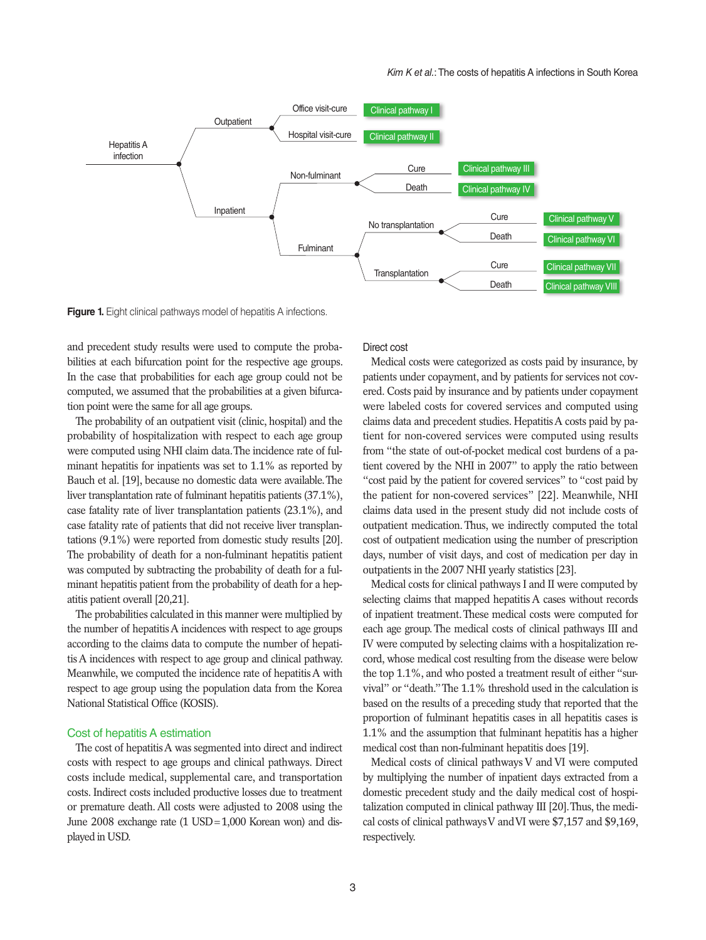

**Figure 1.** Eight clinical pathways model of hepatitis A infections.

and precedent study results were used to compute the probabilities at each bifurcation point for the respective age groups. In the case that probabilities for each age group could not be computed, we assumed that the probabilities at a given bifurcation point were the same for all age groups.

The probability of an outpatient visit (clinic, hospital) and the probability of hospitalization with respect to each age group were computed using NHI claim data. The incidence rate of fulminant hepatitis for inpatients was set to 1.1% as reported by Bauch et al. [19], because no domestic data were available. The liver transplantation rate of fulminant hepatitis patients (37.1%), case fatality rate of liver transplantation patients (23.1%), and case fatality rate of patients that did not receive liver transplantations (9.1%) were reported from domestic study results [20]. The probability of death for a non-fulminant hepatitis patient was computed by subtracting the probability of death for a fulminant hepatitis patient from the probability of death for a hepatitis patient overall [20,21].

The probabilities calculated in this manner were multiplied by the number of hepatitis A incidences with respect to age groups according to the claims data to compute the number of hepatitis A incidences with respect to age group and clinical pathway. Meanwhile, we computed the incidence rate of hepatitis A with respect to age group using the population data from the Korea National Statistical Office (KOSIS).

## Cost of hepatitis A estimation

The cost of hepatitis A was segmented into direct and indirect costs with respect to age groups and clinical pathways. Direct costs include medical, supplemental care, and transportation costs. Indirect costs included productive losses due to treatment or premature death. All costs were adjusted to 2008 using the June 2008 exchange rate (1 USD=1,000 Korean won) and displayed in USD.

#### Direct cost

Medical costs were categorized as costs paid by insurance, by patients under copayment, and by patients for services not covered. Costs paid by insurance and by patients under copayment were labeled costs for covered services and computed using claims data and precedent studies. Hepatitis A costs paid by patient for non-covered services were computed using results from "the state of out-of-pocket medical cost burdens of a patient covered by the NHI in 2007" to apply the ratio between "cost paid by the patient for covered services" to "cost paid by the patient for non-covered services" [22]. Meanwhile, NHI claims data used in the present study did not include costs of outpatient medication. Thus, we indirectly computed the total cost of outpatient medication using the number of prescription days, number of visit days, and cost of medication per day in outpatients in the 2007 NHI yearly statistics [23].

Medical costs for clinical pathways I and II were computed by selecting claims that mapped hepatitis A cases without records of inpatient treatment. These medical costs were computed for each age group. The medical costs of clinical pathways III and IV were computed by selecting claims with a hospitalization record, whose medical cost resulting from the disease were below the top 1.1%, and who posted a treatment result of either "survival" or "death." The 1.1% threshold used in the calculation is based on the results of a preceding study that reported that the proportion of fulminant hepatitis cases in all hepatitis cases is 1.1% and the assumption that fulminant hepatitis has a higher medical cost than non-fulminant hepatitis does [19].

Medical costs of clinical pathways V and VI were computed by multiplying the number of inpatient days extracted from a domestic precedent study and the daily medical cost of hospitalization computed in clinical pathway III [20]. Thus, the medical costs of clinical pathways V and VI were \$7,157 and \$9,169, respectively.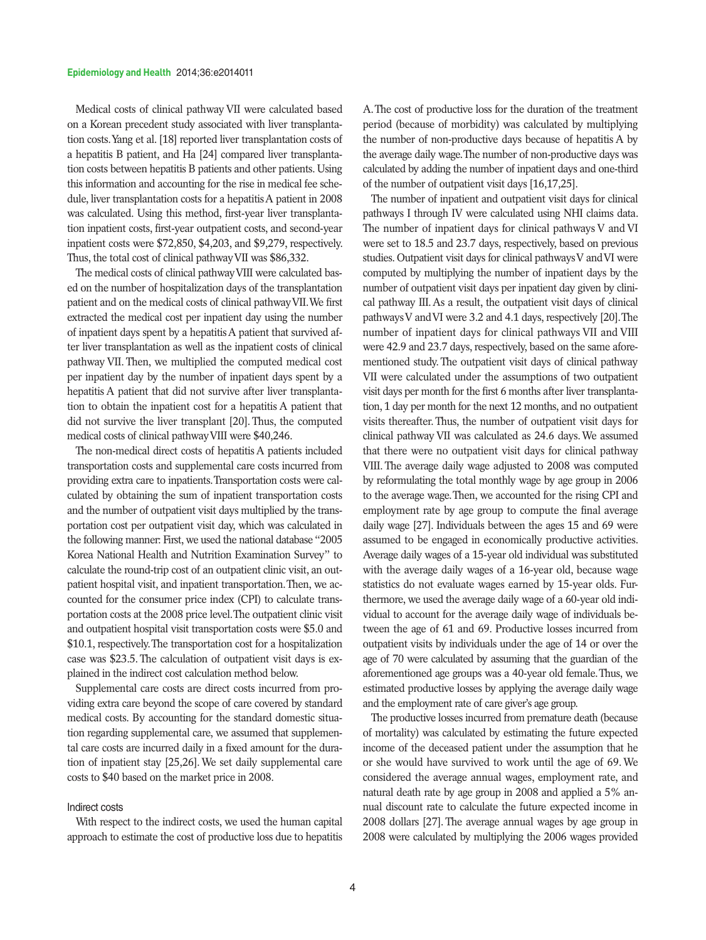Medical costs of clinical pathway VII were calculated based on a Korean precedent study associated with liver transplantation costs. Yang et al. [18] reported liver transplantation costs of a hepatitis B patient, and Ha [24] compared liver transplantation costs between hepatitis B patients and other patients. Using this information and accounting for the rise in medical fee schedule, liver transplantation costs for a hepatitis A patient in 2008 was calculated. Using this method, first-year liver transplantation inpatient costs, first-year outpatient costs, and second-year inpatient costs were \$72,850, \$4,203, and \$9,279, respectively. Thus, the total cost of clinical pathway VII was \$86,332.

The medical costs of clinical pathway VIII were calculated based on the number of hospitalization days of the transplantation patient and on the medical costs of clinical pathway VII. We first extracted the medical cost per inpatient day using the number of inpatient days spent by a hepatitis A patient that survived after liver transplantation as well as the inpatient costs of clinical pathway VII. Then, we multiplied the computed medical cost per inpatient day by the number of inpatient days spent by a hepatitis A patient that did not survive after liver transplantation to obtain the inpatient cost for a hepatitis A patient that did not survive the liver transplant [20]. Thus, the computed medical costs of clinical pathway VIII were \$40,246.

The non-medical direct costs of hepatitis A patients included transportation costs and supplemental care costs incurred from providing extra care to inpatients. Transportation costs were calculated by obtaining the sum of inpatient transportation costs and the number of outpatient visit days multiplied by the transportation cost per outpatient visit day, which was calculated in the following manner: First, we used the national database "2005 Korea National Health and Nutrition Examination Survey" to calculate the round-trip cost of an outpatient clinic visit, an outpatient hospital visit, and inpatient transportation. Then, we accounted for the consumer price index (CPI) to calculate transportation costs at the 2008 price level. The outpatient clinic visit and outpatient hospital visit transportation costs were \$5.0 and \$10.1, respectively. The transportation cost for a hospitalization case was \$23.5. The calculation of outpatient visit days is explained in the indirect cost calculation method below.

Supplemental care costs are direct costs incurred from providing extra care beyond the scope of care covered by standard medical costs. By accounting for the standard domestic situation regarding supplemental care, we assumed that supplemental care costs are incurred daily in a fixed amount for the duration of inpatient stay [25,26]. We set daily supplemental care costs to \$40 based on the market price in 2008.

#### Indirect costs

With respect to the indirect costs, we used the human capital approach to estimate the cost of productive loss due to hepatitis

A. The cost of productive loss for the duration of the treatment period (because of morbidity) was calculated by multiplying the number of non-productive days because of hepatitis A by the average daily wage. The number of non-productive days was calculated by adding the number of inpatient days and one-third of the number of outpatient visit days [16,17,25].

The number of inpatient and outpatient visit days for clinical pathways I through IV were calculated using NHI claims data. The number of inpatient days for clinical pathways V and VI were set to 18.5 and 23.7 days, respectively, based on previous studies. Outpatient visit days for clinical pathways V and VI were computed by multiplying the number of inpatient days by the number of outpatient visit days per inpatient day given by clinical pathway III. As a result, the outpatient visit days of clinical pathways V and VI were 3.2 and 4.1 days, respectively [20]. The number of inpatient days for clinical pathways VII and VIII were 42.9 and 23.7 days, respectively, based on the same aforementioned study. The outpatient visit days of clinical pathway VII were calculated under the assumptions of two outpatient visit days per month for the first 6 months after liver transplantation, 1 day per month for the next 12 months, and no outpatient visits thereafter. Thus, the number of outpatient visit days for clinical pathway VII was calculated as 24.6 days. We assumed that there were no outpatient visit days for clinical pathway VIII. The average daily wage adjusted to 2008 was computed by reformulating the total monthly wage by age group in 2006 to the average wage. Then, we accounted for the rising CPI and employment rate by age group to compute the final average daily wage [27]. Individuals between the ages 15 and 69 were assumed to be engaged in economically productive activities. Average daily wages of a 15-year old individual was substituted with the average daily wages of a 16-year old, because wage statistics do not evaluate wages earned by 15-year olds. Furthermore, we used the average daily wage of a 60-year old individual to account for the average daily wage of individuals between the age of 61 and 69. Productive losses incurred from outpatient visits by individuals under the age of 14 or over the age of 70 were calculated by assuming that the guardian of the aforementioned age groups was a 40-year old female. Thus, we estimated productive losses by applying the average daily wage and the employment rate of care giver's age group.

The productive losses incurred from premature death (because of mortality) was calculated by estimating the future expected income of the deceased patient under the assumption that he or she would have survived to work until the age of 69. We considered the average annual wages, employment rate, and natural death rate by age group in 2008 and applied a 5% annual discount rate to calculate the future expected income in 2008 dollars [27]. The average annual wages by age group in 2008 were calculated by multiplying the 2006 wages provided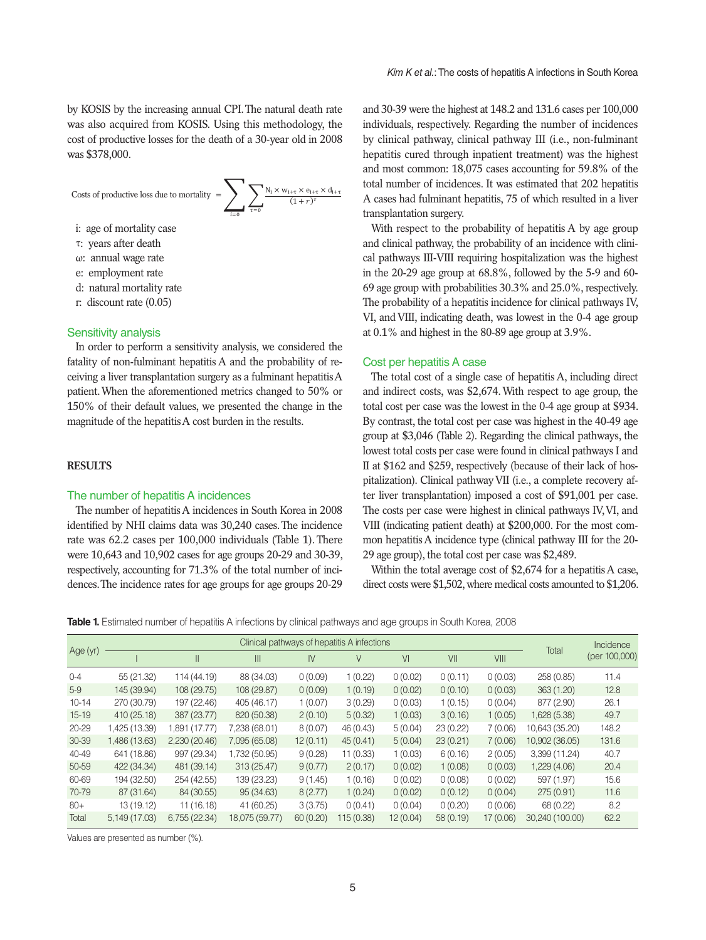by KOSIS by the increasing annual CPI. The natural death rate was also acquired from KOSIS. Using this methodology, the cost of productive losses for the death of a 30-year old in 2008 was \$378,000.



- i: age of mortality case
- τ: years after death τ: years after death
- ω: annual wage rate ω: annual wage rate
- e: employment rate e: employment rate
- d: natural mortality rate d: natural mortality rate u. natural
	- r: discount rate (0.05)

#### Sensitivity analysis

In order to perform a sensitivity analysis, we considered the fatality of non-fulminant hepatitis A and the probability of receiving a liver transplantation surgery as a fulminant hepatitis A patient. When the aforementioned metrics changed to 50% or 150% of their default values, we presented the change in the magnitude of the hepatitis A cost burden in the results.

# **RESULTS**

#### The number of hepatitis A incidences

The number of hepatitis A incidences in South Korea in 2008 identified by NHI claims data was 30,240 cases. The incidence rate was 62.2 cases per 100,000 individuals (Table 1). There were 10,643 and 10,902 cases for age groups 20-29 and 30-39, respectively, accounting for 71.3% of the total number of incidences. The incidence rates for age groups for age groups 20-29 and 30-39 were the highest at 148.2 and 131.6 cases per 100,000 individuals, respectively. Regarding the number of incidences by clinical pathway, clinical pathway III (i.e., non-fulminant hepatitis cured through inpatient treatment) was the highest and most common: 18,075 cases accounting for 59.8% of the total number of incidences. It was estimated that 202 hepatitis A cases had fulminant hepatitis, 75 of which resulted in a liver transplantation surgery.

With respect to the probability of hepatitis A by age group and clinical pathway, the probability of an incidence with clinical pathways III-VIII requiring hospitalization was the highest in the 20-29 age group at 68.8%, followed by the 5-9 and 60- 69 age group with probabilities 30.3% and 25.0%, respectively. The probability of a hepatitis incidence for clinical pathways IV, VI, and VIII, indicating death, was lowest in the 0-4 age group at 0.1% and highest in the 80-89 age group at 3.9%.

#### Cost per hepatitis A case

The total cost of a single case of hepatitis A, including direct and indirect costs, was \$2,674. With respect to age group, the total cost per case was the lowest in the 0-4 age group at \$934. By contrast, the total cost per case was highest in the 40-49 age group at \$3,046 (Table 2). Regarding the clinical pathways, the lowest total costs per case were found in clinical pathways I and II at \$162 and \$259, respectively (because of their lack of hospitalization). Clinical pathway VII (i.e., a complete recovery after liver transplantation) imposed a cost of \$91,001 per case. The costs per case were highest in clinical pathways IV, VI, and VIII (indicating patient death) at \$200,000. For the most common hepatitis A incidence type (clinical pathway III for the 20- 29 age group), the total cost per case was \$2,489.

Within the total average cost of \$2,674 for a hepatitis A case, direct costs were \$1,502, where medical costs amounted to \$1,206.

**Table 1.** Estimated number of hepatitis A infections by clinical pathways and age groups in South Korea, 2008

| Age (yr)  |               |               |                |          | Clinical pathways of hepatitis A infections |          |          |          | Total           | Incidence<br>(per 100,000) |
|-----------|---------------|---------------|----------------|----------|---------------------------------------------|----------|----------|----------|-----------------|----------------------------|
|           |               | Ш             | Ш              | IV       | V                                           | VI       | VII      | VIII     |                 |                            |
| $0 - 4$   | 55(21.32)     | 114 (44.19)   | 88 (34.03)     | 0(0.09)  | 1(0.22)                                     | 0(0.02)  | 0(0.11)  | 0(0.03)  | 258(0.85)       | 11.4                       |
| $5-9$     | 145 (39.94)   | 108 (29.75)   | 108 (29.87)    | 0(0.09)  | 1(0.19)                                     | 0(0.02)  | 0(0.10)  | 0(0.03)  | 363(1.20)       | 12.8                       |
| $10 - 14$ | 270 (30.79)   | 197 (22.46)   | 405 (46.17)    | 1(0.07)  | 3(0.29)                                     | 0(0.03)  | 1(0.15)  | 0(0.04)  | 877 (2.90)      | 26.1                       |
| $15 - 19$ | 410 (25.18)   | 387 (23.77)   | 820 (50.38)    | 2(0.10)  | 5(0.32)                                     | 1(0.03)  | 3(0.16)  | 1(0.05)  | 1,628 (5.38)    | 49.7                       |
| $20 - 29$ | 1,425 (13.39) | 1,891 (17.77) | 7,238 (68.01)  | 8(0.07)  | 46 (0.43)                                   | 5(0.04)  | 23(0.22) | 7(0.06)  | 10,643 (35.20)  | 148.2                      |
| 30-39     | 1,486 (13.63) | 2,230(20.46)  | 7,095 (65.08)  | 12(0.11) | 45(0.41)                                    | 5(0.04)  | 23(0.21) | 7(0.06)  | 10,902 (36.05)  | 131.6                      |
| 40-49     | 641 (18.86)   | 997 (29.34)   | 1,732 (50.95)  | 9(0.28)  | 11(0.33)                                    | 1(0.03)  | 6(0.16)  | 2(0.05)  | 3,399 (11.24)   | 40.7                       |
| 50-59     | 422 (34.34)   | 481 (39.14)   | 313 (25.47)    | 9(0.77)  | 2(0.17)                                     | 0(0.02)  | 1(0.08)  | 0(0.03)  | 1,229 (4.06)    | 20.4                       |
| 60-69     | 194 (32.50)   | 254 (42.55)   | 139 (23.23)    | 9(1.45)  | 1(0.16)                                     | 0(0.02)  | 0(0.08)  | 0(0.02)  | 597 (1.97)      | 15.6                       |
| 70-79     | 87 (31.64)    | 84 (30.55)    | 95 (34.63)     | 8(2.77)  | 1(0.24)                                     | 0(0.02)  | 0(0.12)  | 0(0.04)  | 275(0.91)       | 11.6                       |
| $80+$     | 13(19.12)     | 11(16.18)     | 41 (60.25)     | 3(3.75)  | 0(0.41)                                     | 0(0.04)  | 0(0.20)  | 0(0.06)  | 68 (0.22)       | 8.2                        |
| Total     | 5,149 (17.03) | 6,755(22.34)  | 18,075 (59.77) | 60(0.20) | 115 (0.38)                                  | 12(0.04) | 58(0.19) | 17(0.06) | 30,240 (100.00) | 62.2                       |

Values are presented as number (%).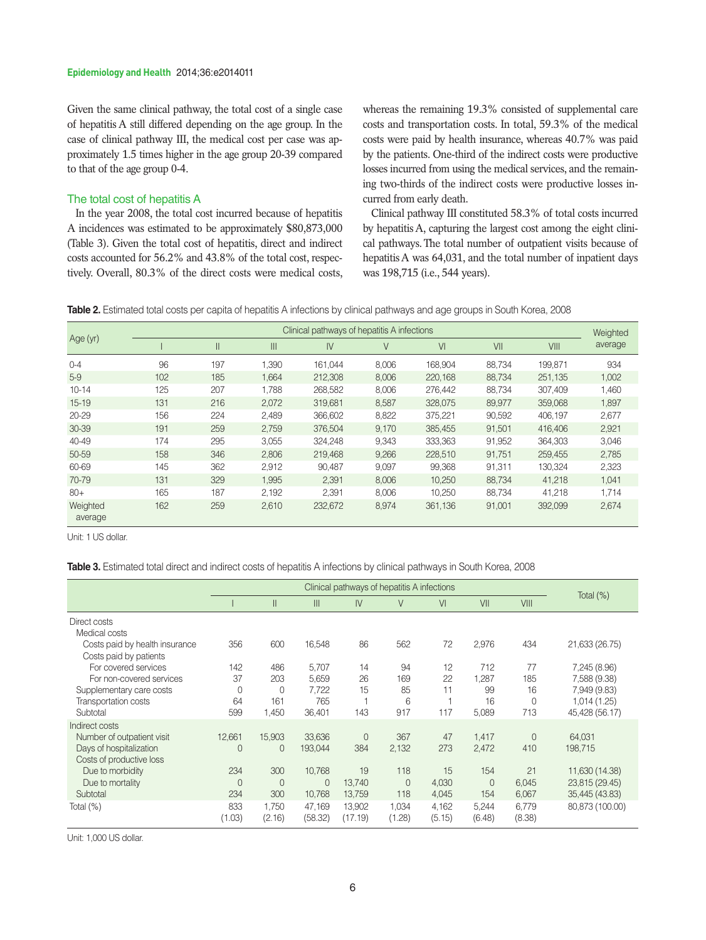Given the same clinical pathway, the total cost of a single case of hepatitis A still differed depending on the age group. In the case of clinical pathway III, the medical cost per case was approximately 1.5 times higher in the age group 20-39 compared to that of the age group 0-4.

# The total cost of hepatitis A

In the year 2008, the total cost incurred because of hepatitis A incidences was estimated to be approximately \$80,873,000 (Table 3). Given the total cost of hepatitis, direct and indirect costs accounted for 56.2% and 43.8% of the total cost, respectively. Overall, 80.3% of the direct costs were medical costs,

whereas the remaining 19.3% consisted of supplemental care costs and transportation costs. In total, 59.3% of the medical costs were paid by health insurance, whereas 40.7% was paid by the patients. One-third of the indirect costs were productive losses incurred from using the medical services, and the remaining two-thirds of the indirect costs were productive losses incurred from early death.

Clinical pathway III constituted 58.3% of total costs incurred by hepatitis A, capturing the largest cost among the eight clinical pathways. The total number of outpatient visits because of hepatitis A was 64,031, and the total number of inpatient days was 198,715 (i.e., 544 years).



|                     | Clinical pathways of hepatitis A infections |             |              |         |       |         |        |         |         |  |  |  |
|---------------------|---------------------------------------------|-------------|--------------|---------|-------|---------|--------|---------|---------|--|--|--|
| Age (yr)            |                                             | $\parallel$ | $\mathbb{H}$ | IV      | V     | VI      | VII    | VIII    | average |  |  |  |
| $0 - 4$             | 96                                          | 197         | 1,390        | 161.044 | 8,006 | 168,904 | 88,734 | 199,871 | 934     |  |  |  |
| $5-9$               | 102                                         | 185         | 1,664        | 212,308 | 8,006 | 220,168 | 88,734 | 251,135 | 1,002   |  |  |  |
| $10 - 14$           | 125                                         | 207         | 1,788        | 268,582 | 8,006 | 276,442 | 88,734 | 307,409 | 1,460   |  |  |  |
| $15 - 19$           | 131                                         | 216         | 2,072        | 319,681 | 8,587 | 328,075 | 89,977 | 359.068 | 1,897   |  |  |  |
| $20 - 29$           | 156                                         | 224         | 2,489        | 366,602 | 8,822 | 375,221 | 90,592 | 406,197 | 2,677   |  |  |  |
| 30-39               | 191                                         | 259         | 2.759        | 376.504 | 9.170 | 385.455 | 91.501 | 416,406 | 2,921   |  |  |  |
| 40-49               | 174                                         | 295         | 3,055        | 324,248 | 9,343 | 333,363 | 91,952 | 364,303 | 3,046   |  |  |  |
| 50-59               | 158                                         | 346         | 2,806        | 219.468 | 9,266 | 228,510 | 91,751 | 259,455 | 2,785   |  |  |  |
| 60-69               | 145                                         | 362         | 2,912        | 90,487  | 9,097 | 99,368  | 91,311 | 130,324 | 2,323   |  |  |  |
| 70-79               | 131                                         | 329         | 1.995        | 2.391   | 8.006 | 10.250  | 88,734 | 41.218  | 1,041   |  |  |  |
| $80+$               | 165                                         | 187         | 2.192        | 2.391   | 8.006 | 10.250  | 88.734 | 41,218  | 1,714   |  |  |  |
| Weighted<br>average | 162                                         | 259         | 2,610        | 232,672 | 8,974 | 361,136 | 91,001 | 392,099 | 2,674   |  |  |  |

Unit: 1 US dollar.

**Table 3.** Estimated total direct and indirect costs of hepatitis A infections by clinical pathways in South Korea, 2008

|                                                              |                              | Clinical pathways of hepatitis A infections |                        |                        |                              |                      |                              |                      |                                                    |
|--------------------------------------------------------------|------------------------------|---------------------------------------------|------------------------|------------------------|------------------------------|----------------------|------------------------------|----------------------|----------------------------------------------------|
|                                                              |                              | $\mathsf{II}$                               | Ш                      | IV                     | V                            | VI                   | VII                          | VIII                 | Total (%)                                          |
| Direct costs<br>Medical costs                                |                              |                                             |                        |                        |                              |                      |                              |                      |                                                    |
| Costs paid by health insurance<br>Costs paid by patients     | 356                          | 600                                         | 16,548                 | 86                     | 562                          | 72                   | 2,976                        | 434                  | 21,633 (26.75)                                     |
| For covered services<br>For non-covered services             | 142<br>37                    | 486<br>203                                  | 5,707<br>5,659         | 14<br>26               | 94<br>169                    | 12<br>22             | 712<br>1,287                 | 77<br>185            | 7,245 (8.96)<br>7,588 (9.38)                       |
| Supplementary care costs<br>Transportation costs<br>Subtotal | 0<br>64<br>599               | 0<br>161<br>1,450                           | 7,722<br>765<br>36,401 | 15<br>143              | 85<br>6<br>917               | 11<br>117            | 99<br>16<br>5,089            | 16<br>0<br>713       | 7,949 (9.83)<br>1,014 (1.25)<br>45,428 (56.17)     |
| Indirect costs<br>Number of outpatient visit                 | 12,661                       | 15,903                                      | 33,636                 | 0                      | 367                          | 47                   | 1,417                        | $\overline{0}$       | 64,031                                             |
| Days of hospitalization<br>Costs of productive loss          | $\mathbf 0$                  | 0                                           | 193,044                | 384                    | 2,132                        | 273                  | 2,472                        | 410                  | 198,715                                            |
| Due to morbidity<br>Due to mortality<br>Subtotal             | 234<br>$\overline{0}$<br>234 | 300<br>$\overline{0}$<br>300                | 10,768<br>0<br>10,768  | 19<br>13,740<br>13,759 | 118<br>$\overline{0}$<br>118 | 15<br>4,030<br>4,045 | 154<br>$\overline{0}$<br>154 | 21<br>6,045<br>6,067 | 11,630 (14.38)<br>23,815 (29.45)<br>35,445 (43.83) |
| Total (%)                                                    | 833<br>(1.03)                | 1,750<br>(2.16)                             | 47,169<br>(58.32)      | 13,902<br>(17.19)      | 1,034<br>(1.28)              | 4,162<br>(5.15)      | 5,244<br>(6.48)              | 6,779<br>(8.38)      | 80,873 (100.00)                                    |

Unit: 1,000 US dollar.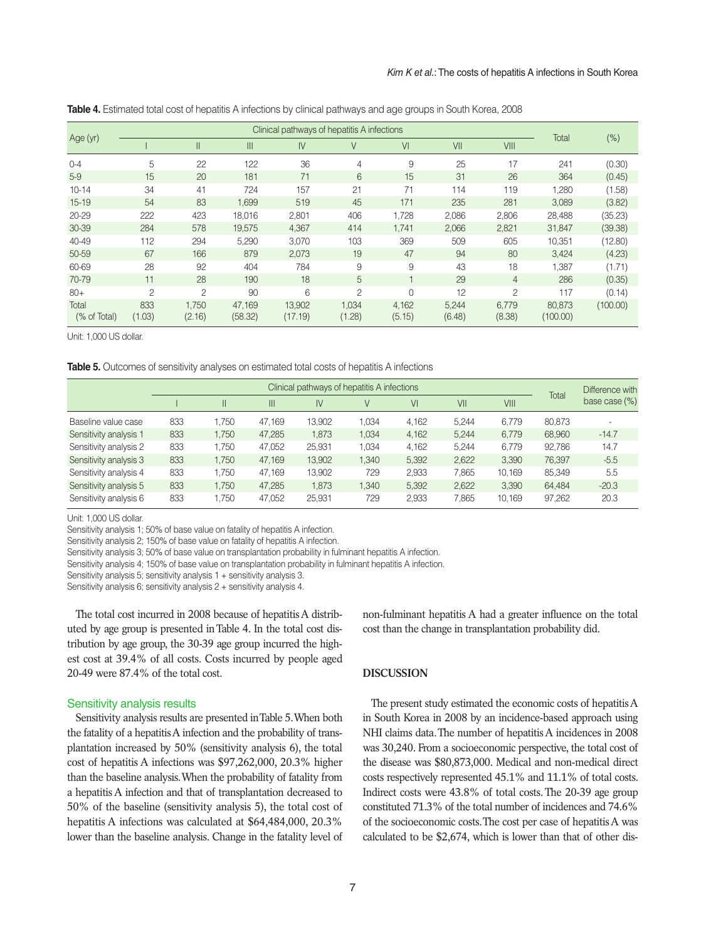|  |  | <b>Table 4.</b> Estimated total cost of hepatitis A infections by clinical pathways and age groups in South Korea, 2008 |  |  |  |  |
|--|--|-------------------------------------------------------------------------------------------------------------------------|--|--|--|--|
|--|--|-------------------------------------------------------------------------------------------------------------------------|--|--|--|--|

|                       |                |                 | Total             |                   |                 |                 |                 |                 |                    |          |
|-----------------------|----------------|-----------------|-------------------|-------------------|-----------------|-----------------|-----------------|-----------------|--------------------|----------|
| Age (yr)              |                | $\mathsf{II}$   | III               | IV                | $\vee$          | VI              | VII             | VIII            |                    | $(\%)$   |
| $0 - 4$               | 5              | 22              | 122               | 36                | 4               | 9               | 25              | 17              | 241                | (0.30)   |
| $5-9$                 | 15             | 20              | 181               | 71                | 6               | 15              | 31              | 26              | 364                | (0.45)   |
| $10 - 14$             | 34             | 41              | 724               | 157               | 21              | 71              | 114             | 119             | 1,280              | (1.58)   |
| $15 - 19$             | 54             | 83              | 1.699             | 519               | 45              | 171             | 235             | 281             | 3,089              | (3.82)   |
| $20 - 29$             | 222            | 423             | 18,016            | 2,801             | 406             | 1,728           | 2,086           | 2,806           | 28,488             | (35.23)  |
| 30-39                 | 284            | 578             | 19,575            | 4,367             | 414             | 1.741           | 2,066           | 2,821           | 31,847             | (39.38)  |
| 40-49                 | 112            | 294             | 5,290             | 3,070             | 103             | 369             | 509             | 605             | 10,351             | (12.80)  |
| 50-59                 | 67             | 166             | 879               | 2,073             | 19              | 47              | 94              | 80              | 3,424              | (4.23)   |
| 60-69                 | 28             | 92              | 404               | 784               | 9               | 9               | 43              | 18              | 1,387              | (1.71)   |
| 70-79                 | 11             | 28              | 190               | 18                | 5               |                 | 29              | $\overline{4}$  | 286                | (0.35)   |
| $80+$                 | $\overline{c}$ | $\overline{c}$  | 90                | 6                 | $\overline{c}$  | $\Omega$        | 12              | 2               | 117                | (0.14)   |
| Total<br>(% of Total) | 833<br>(1.03)  | 1,750<br>(2.16) | 47,169<br>(58.32) | 13,902<br>(17.19) | 1,034<br>(1.28) | 4,162<br>(5.15) | 5,244<br>(6.48) | 6,779<br>(8.38) | 80,873<br>(100.00) | (100.00) |

Unit: 1,000 US dollar.

**Table 5.** Outcomes of sensitivity analyses on estimated total costs of hepatitis A infections

|                        |     | Total | Difference with |        |      |       |       |        |        |               |
|------------------------|-----|-------|-----------------|--------|------|-------|-------|--------|--------|---------------|
|                        |     |       | Ш               | IV     | V    | VI    | VII   | VIII   |        | base case (%) |
| Baseline value case    | 833 | .750  | 47.169          | 13,902 | .034 | 4.162 | 5.244 | 6,779  | 80,873 |               |
| Sensitivity analysis 1 | 833 | 1.750 | 47,285          | 1,873  | .034 | 4,162 | 5.244 | 6.779  | 68,960 | $-14.7$       |
| Sensitivity analysis 2 | 833 | 1.750 | 47.052          | 25.931 | .034 | 4.162 | 5.244 | 6.779  | 92.786 | 14.7          |
| Sensitivity analysis 3 | 833 | 1.750 | 47.169          | 13,902 | .340 | 5.392 | 2.622 | 3.390  | 76,397 | $-5.5$        |
| Sensitivity analysis 4 | 833 | 1.750 | 47.169          | 13,902 | 729  | 2.933 | 7.865 | 10.169 | 85.349 | 5.5           |
| Sensitivity analysis 5 | 833 | 1.750 | 47.285          | 1,873  | .340 | 5,392 | 2,622 | 3,390  | 64,484 | $-20.3$       |
| Sensitivity analysis 6 | 833 | .750  | 47.052          | 25,931 | 729  | 2,933 | 7.865 | 10.169 | 97,262 | 20.3          |

Unit: 1,000 US dollar.

Sensitivity analysis 1; 50% of base value on fatality of hepatitis A infection.

Sensitivity analysis 2; 150% of base value on fatality of hepatitis A infection.

Sensitivity analysis 3; 50% of base value on transplantation probability in fulminant hepatitis A infection.

Sensitivity analysis 4; 150% of base value on transplantation probability in fulminant hepatitis A infection.

Sensitivity analysis 5; sensitivity analysis 1 + sensitivity analysis 3.

Sensitivity analysis 6; sensitivity analysis 2 + sensitivity analysis 4.

The total cost incurred in 2008 because of hepatitis A distributed by age group is presented in Table 4. In the total cost distribution by age group, the 30-39 age group incurred the highest cost at 39.4% of all costs. Costs incurred by people aged 20-49 were 87.4% of the total cost.

#### Sensitivity analysis results

Sensitivity analysis results are presented in Table 5. When both the fatality of a hepatitis A infection and the probability of transplantation increased by 50% (sensitivity analysis 6), the total cost of hepatitis A infections was \$97,262,000, 20.3% higher than the baseline analysis. When the probability of fatality from a hepatitis A infection and that of transplantation decreased to 50% of the baseline (sensitivity analysis 5), the total cost of hepatitis A infections was calculated at \$64,484,000, 20.3% lower than the baseline analysis. Change in the fatality level of non-fulminant hepatitis A had a greater influence on the total cost than the change in transplantation probability did.

#### **DISCUSSION**

The present study estimated the economic costs of hepatitis A in South Korea in 2008 by an incidence-based approach using NHI claims data. The number of hepatitis A incidences in 2008 was 30,240. From a socioeconomic perspective, the total cost of the disease was \$80,873,000. Medical and non-medical direct costs respectively represented 45.1% and 11.1% of total costs. Indirect costs were 43.8% of total costs. The 20-39 age group constituted 71.3% of the total number of incidences and 74.6% of the socioeconomic costs. The cost per case of hepatitis A was calculated to be \$2,674, which is lower than that of other dis-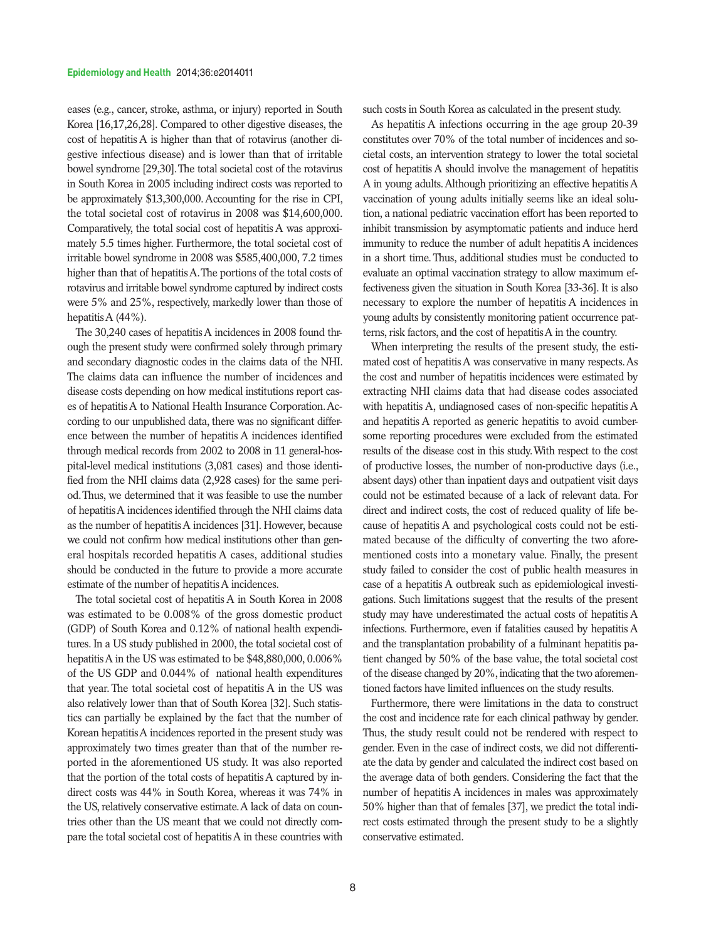eases (e.g., cancer, stroke, asthma, or injury) reported in South Korea [16,17,26,28]. Compared to other digestive diseases, the cost of hepatitis A is higher than that of rotavirus (another digestive infectious disease) and is lower than that of irritable bowel syndrome [29,30]. The total societal cost of the rotavirus in South Korea in 2005 including indirect costs was reported to be approximately \$13,300,000. Accounting for the rise in CPI, the total societal cost of rotavirus in 2008 was \$14,600,000. Comparatively, the total social cost of hepatitis A was approximately 5.5 times higher. Furthermore, the total societal cost of irritable bowel syndrome in 2008 was \$585,400,000, 7.2 times higher than that of hepatitis A. The portions of the total costs of rotavirus and irritable bowel syndrome captured by indirect costs were 5% and 25%, respectively, markedly lower than those of hepatitis A (44%).

The 30,240 cases of hepatitis A incidences in 2008 found through the present study were confirmed solely through primary and secondary diagnostic codes in the claims data of the NHI. The claims data can influence the number of incidences and disease costs depending on how medical institutions report cases of hepatitis A to National Health Insurance Corporation. According to our unpublished data, there was no significant difference between the number of hepatitis A incidences identified through medical records from 2002 to 2008 in 11 general-hospital-level medical institutions (3,081 cases) and those identified from the NHI claims data (2,928 cases) for the same period. Thus, we determined that it was feasible to use the number of hepatitis A incidences identified through the NHI claims data as the number of hepatitis A incidences [31]. However, because we could not confirm how medical institutions other than general hospitals recorded hepatitis A cases, additional studies should be conducted in the future to provide a more accurate estimate of the number of hepatitis A incidences.

The total societal cost of hepatitis A in South Korea in 2008 was estimated to be 0.008% of the gross domestic product (GDP) of South Korea and 0.12% of national health expenditures. In a US study published in 2000, the total societal cost of hepatitis A in the US was estimated to be \$48,880,000, 0.006% of the US GDP and 0.044% of national health expenditures that year. The total societal cost of hepatitis A in the US was also relatively lower than that of South Korea [32]. Such statistics can partially be explained by the fact that the number of Korean hepatitis A incidences reported in the present study was approximately two times greater than that of the number reported in the aforementioned US study. It was also reported that the portion of the total costs of hepatitis A captured by indirect costs was 44% in South Korea, whereas it was 74% in the US, relatively conservative estimate. A lack of data on countries other than the US meant that we could not directly compare the total societal cost of hepatitis A in these countries with such costs in South Korea as calculated in the present study.

As hepatitis A infections occurring in the age group 20-39 constitutes over 70% of the total number of incidences and societal costs, an intervention strategy to lower the total societal cost of hepatitis A should involve the management of hepatitis A in young adults. Although prioritizing an effective hepatitis A vaccination of young adults initially seems like an ideal solution, a national pediatric vaccination effort has been reported to inhibit transmission by asymptomatic patients and induce herd immunity to reduce the number of adult hepatitis A incidences in a short time. Thus, additional studies must be conducted to evaluate an optimal vaccination strategy to allow maximum effectiveness given the situation in South Korea [33-36]. It is also necessary to explore the number of hepatitis A incidences in young adults by consistently monitoring patient occurrence patterns, risk factors, and the cost of hepatitis A in the country.

When interpreting the results of the present study, the estimated cost of hepatitis A was conservative in many respects. As the cost and number of hepatitis incidences were estimated by extracting NHI claims data that had disease codes associated with hepatitis A, undiagnosed cases of non-specific hepatitis A and hepatitis A reported as generic hepatitis to avoid cumbersome reporting procedures were excluded from the estimated results of the disease cost in this study. With respect to the cost of productive losses, the number of non-productive days (i.e., absent days) other than inpatient days and outpatient visit days could not be estimated because of a lack of relevant data. For direct and indirect costs, the cost of reduced quality of life because of hepatitis A and psychological costs could not be estimated because of the difficulty of converting the two aforementioned costs into a monetary value. Finally, the present study failed to consider the cost of public health measures in case of a hepatitis A outbreak such as epidemiological investigations. Such limitations suggest that the results of the present study may have underestimated the actual costs of hepatitis A infections. Furthermore, even if fatalities caused by hepatitis A and the transplantation probability of a fulminant hepatitis patient changed by 50% of the base value, the total societal cost of the disease changed by 20%, indicating that the two aforementioned factors have limited influences on the study results.

Furthermore, there were limitations in the data to construct the cost and incidence rate for each clinical pathway by gender. Thus, the study result could not be rendered with respect to gender. Even in the case of indirect costs, we did not differentiate the data by gender and calculated the indirect cost based on the average data of both genders. Considering the fact that the number of hepatitis A incidences in males was approximately 50% higher than that of females [37], we predict the total indirect costs estimated through the present study to be a slightly conservative estimated.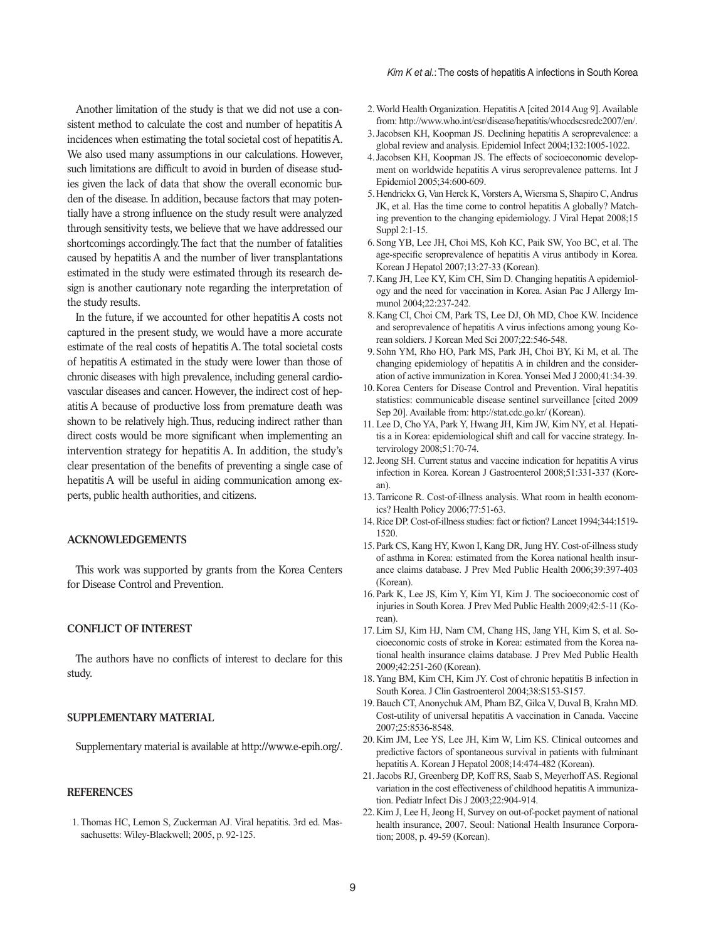Another limitation of the study is that we did not use a consistent method to calculate the cost and number of hepatitis A incidences when estimating the total societal cost of hepatitis A. We also used many assumptions in our calculations. However, such limitations are difficult to avoid in burden of disease studies given the lack of data that show the overall economic burden of the disease. In addition, because factors that may potentially have a strong influence on the study result were analyzed through sensitivity tests, we believe that we have addressed our shortcomings accordingly. The fact that the number of fatalities caused by hepatitis A and the number of liver transplantations estimated in the study were estimated through its research design is another cautionary note regarding the interpretation of the study results.

In the future, if we accounted for other hepatitis A costs not captured in the present study, we would have a more accurate estimate of the real costs of hepatitis A. The total societal costs of hepatitis A estimated in the study were lower than those of chronic diseases with high prevalence, including general cardiovascular diseases and cancer. However, the indirect cost of hepatitis A because of productive loss from premature death was shown to be relatively high. Thus, reducing indirect rather than direct costs would be more significant when implementing an intervention strategy for hepatitis A. In addition, the study's clear presentation of the benefits of preventing a single case of hepatitis A will be useful in aiding communication among experts, public health authorities, and citizens.

# **ACKNOWLEDGEMENTS**

This work was supported by grants from the Korea Centers for Disease Control and Prevention.

# **CONFLICT OF INTEREST**

The authors have no conflicts of interest to declare for this study.

#### **SUPPLEMENTARY MATERIAL**

Supplementary material is available at http://www.e-epih.org/.

#### **REFERENCES**

1.Thomas HC, Lemon S, Zuckerman AJ. Viral hepatitis. 3rd ed. Massachusetts: Wiley-Blackwell; 2005, p. 92-125.

- 2.World Health Organization. Hepatitis A [cited 2014 Aug 9]. Available from: http://www.who.int/csr/disease/hepatitis/whocdscsredc2007/en/.
- 3.Jacobsen KH, Koopman JS. Declining hepatitis A seroprevalence: a global review and analysis. Epidemiol Infect 2004;132:1005-1022.
- 4.Jacobsen KH, Koopman JS. The effects of socioeconomic development on worldwide hepatitis A virus seroprevalence patterns. Int J Epidemiol 2005;34:600-609.
- 5.Hendrickx G, Van Herck K, Vorsters A, Wiersma S, Shapiro C, Andrus JK, et al. Has the time come to control hepatitis A globally? Matching prevention to the changing epidemiology. J Viral Hepat 2008;15 Suppl 2:1-15.
- 6.Song YB, Lee JH, Choi MS, Koh KC, Paik SW, Yoo BC, et al. The age-specific seroprevalence of hepatitis A virus antibody in Korea. Korean J Hepatol 2007;13:27-33 (Korean).
- 7.Kang JH, Lee KY, Kim CH, Sim D. Changing hepatitis A epidemiology and the need for vaccination in Korea. Asian Pac J Allergy Immunol 2004;22:237-242.
- 8.Kang CI, Choi CM, Park TS, Lee DJ, Oh MD, Choe KW. Incidence and seroprevalence of hepatitis A virus infections among young Korean soldiers. J Korean Med Sci 2007;22:546-548.
- 9.Sohn YM, Rho HO, Park MS, Park JH, Choi BY, Ki M, et al. The changing epidemiology of hepatitis A in children and the consideration of active immunization in Korea. Yonsei Med J 2000;41:34-39.
- 10.Korea Centers for Disease Control and Prevention. Viral hepatitis statistics: communicable disease sentinel surveillance [cited 2009 Sep 20]. Available from: http://stat.cdc.go.kr/ (Korean).
- 11. Lee D, Cho YA, Park Y, Hwang JH, Kim JW, Kim NY, et al. Hepatitis a in Korea: epidemiological shift and call for vaccine strategy. Intervirology 2008;51:70-74.
- 12.Jeong SH. Current status and vaccine indication for hepatitis A virus infection in Korea. Korean J Gastroenterol 2008;51:331-337 (Korean).
- 13.Tarricone R. Cost-of-illness analysis. What room in health economics? Health Policy 2006;77:51-63.
- 14.Rice DP. Cost-of-illness studies: fact or fiction? Lancet 1994;344:1519- 1520.
- 15.Park CS, Kang HY, Kwon I, Kang DR, Jung HY. Cost-of-illness study of asthma in Korea: estimated from the Korea national health insurance claims database. J Prev Med Public Health 2006;39:397-403 (Korean).
- 16.Park K, Lee JS, Kim Y, Kim YI, Kim J. The socioeconomic cost of injuries in South Korea. J Prev Med Public Health 2009;42:5-11 (Korean).
- 17.Lim SJ, Kim HJ, Nam CM, Chang HS, Jang YH, Kim S, et al. Socioeconomic costs of stroke in Korea: estimated from the Korea national health insurance claims database. J Prev Med Public Health 2009;42:251-260 (Korean).
- 18.Yang BM, Kim CH, Kim JY. Cost of chronic hepatitis B infection in South Korea. J Clin Gastroenterol 2004;38:S153-S157.
- 19.Bauch CT, Anonychuk AM, Pham BZ, Gilca V, Duval B, Krahn MD. Cost-utility of universal hepatitis A vaccination in Canada. Vaccine 2007;25:8536-8548.
- 20.Kim JM, Lee YS, Lee JH, Kim W, Lim KS. Clinical outcomes and predictive factors of spontaneous survival in patients with fulminant hepatitis A. Korean J Hepatol 2008;14:474-482 (Korean).
- 21.Jacobs RJ, Greenberg DP, Koff RS, Saab S, Meyerhoff AS. Regional variation in the cost effectiveness of childhood hepatitis A immunization. Pediatr Infect Dis J 2003;22:904-914.
- 22.Kim J, Lee H, Jeong H, Survey on out-of-pocket payment of national health insurance, 2007. Seoul: National Health Insurance Corporation; 2008, p. 49-59 (Korean).